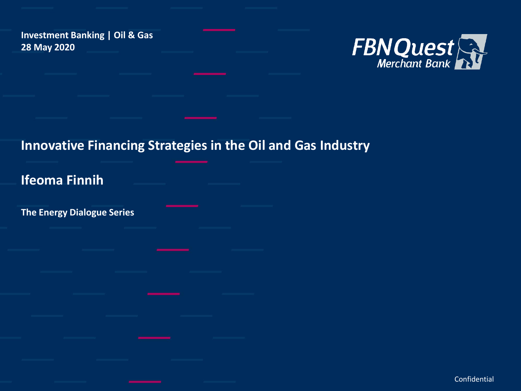**Investment Banking | Oil & Gas 28 May 2020**



### **Innovative Financing Strategies in the Oil and Gas Industry**

**Ifeoma Finnih** 

**The Energy Dialogue Series** 

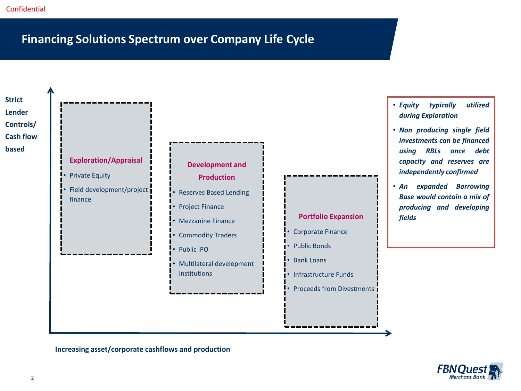#### **Financing Solutions Spectrum over Company Life Cycle**



**Increasing asset/corporate cashflows and production**

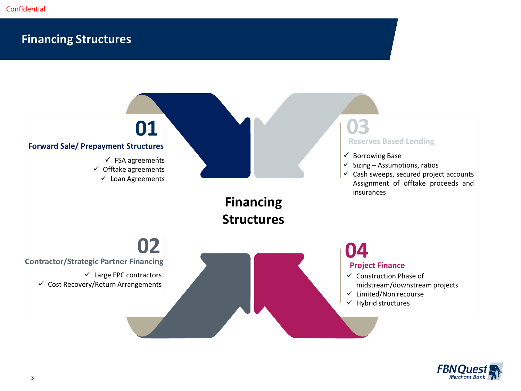#### **Financing Structures**



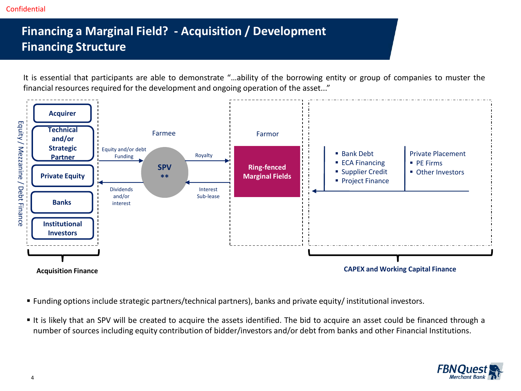## **Financing a Marginal Field? - Acquisition / Development Financing Structure**

It is essential that participants are able to demonstrate "…ability of the borrowing entity or group of companies to muster the financial resources required for the development and ongoing operation of the asset..."



- Funding options include strategic partners/technical partners), banks and private equity/ institutional investors.
- It is likely that an SPV will be created to acquire the assets identified. The bid to acquire an asset could be financed through a number of sources including equity contribution of bidder/investors and/or debt from banks and other Financial Institutions.

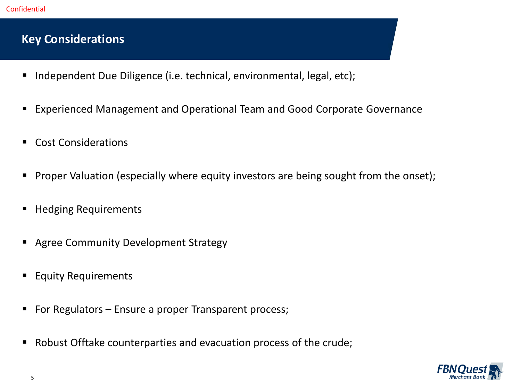#### **Key Considerations**

- Independent Due Diligence (i.e. technical, environmental, legal, etc);
- Experienced Management and Operational Team and Good Corporate Governance
- Cost Considerations
- **•** Proper Valuation (especially where equity investors are being sought from the onset);
- Hedging Requirements
- Agree Community Development Strategy
- Equity Requirements
- For Regulators Ensure a proper Transparent process;
- Robust Offtake counterparties and evacuation process of the crude;

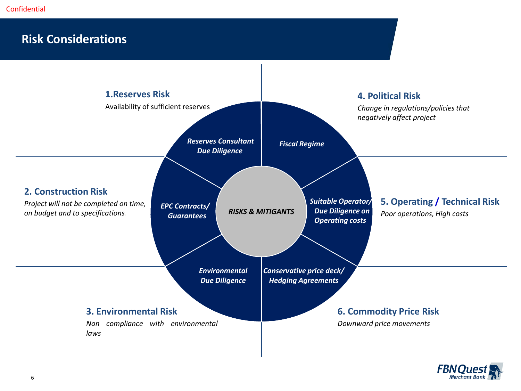#### **Risk Considerations**



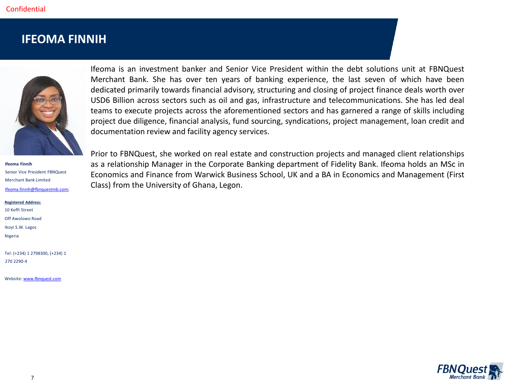#### **IFEOMA FINNIH**



**Ifeoma Finnih**  Senior Vice President FBNQuest Merchant Bank Limited [Ifeoma.finnih@fbnquestmb.com](mailto:Ifeoma.finnih@fbnquestmb.com);

**Registered Address:** 10 Keffi Street Off Awolowo Road Ikoyi S.W. Lagos Nigeria

Tel: (+234) 1 2798300, (+234) 1 270 2290-4

Website: [www.fbnquest.com](http://www.fbnquest.com/)

Ifeoma is an investment banker and Senior Vice President within the debt solutions unit at FBNQuest Merchant Bank. She has over ten years of banking experience, the last seven of which have been dedicated primarily towards financial advisory, structuring and closing of project finance deals worth over USD6 Billion across sectors such as oil and gas, infrastructure and telecommunications. She has led deal teams to execute projects across the aforementioned sectors and has garnered a range of skills including project due diligence, financial analysis, fund sourcing, syndications, project management, loan credit and documentation review and facility agency services.

Prior to FBNQuest, she worked on real estate and construction projects and managed client relationships as a relationship Manager in the Corporate Banking department of Fidelity Bank. Ifeoma holds an MSc in Economics and Finance from Warwick Business School, UK and a BA in Economics and Management (First Class) from the University of Ghana, Legon.

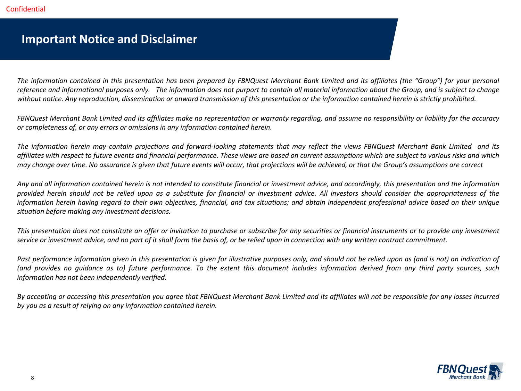#### **Important Notice and Disclaimer**

The information contained in this presentation has been prepared by FBNQuest Merchant Bank Limited and its affiliates (the "Group") for your personal reference and informational purposes only. The information does not purport to contain all material information about the Group, and is subject to change without notice. Any reproduction, dissemination or onward transmission of this presentation or the information contained herein is strictly prohibited.

FBNQuest Merchant Bank Limited and its affiliates make no representation or warranty regarding, and assume no responsibility or liability for the accuracy *or completeness of, or any errors or omissions in any information contained herein.*

The information herein may contain projections and forward-looking statements that may reflect the views FBNQuest Merchant Bank Limited and its affiliates with respect to future events and financial performance. These views are based on current assumptions which are subject to various risks and which may change over time. No assurance is given that future events will occur, that projections will be achieved, or that the Group's assumptions are correct

Any and all information contained herein is not intended to constitute financial or investment advice, and accordingly, this presentation and the information provided herein should not be relied upon as a substitute for financial or investment advice. All investors should consider the appropriateness of the information herein having regard to their own objectives, financial, and tax situations; and obtain independent professional advice based on their unique *situation before making any investment decisions.*

This presentation does not constitute an offer or invitation to purchase or subscribe for any securities or financial instruments or to provide any investment service or investment advice, and no part of it shall form the basis of, or be relied upon in connection with any written contract commitment.

Past performance information given in this presentation is given for illustrative purposes only, and should not be relied upon as (and is not) an indication of (and provides no quidance as to) future performance. To the extent this document includes information derived from any third party sources, such *information has not been independently verified.*

By accepting or accessing this presentation you agree that FBNQuest Merchant Bank Limited and its affiliates will not be responsible for any losses incurred *by you as a result of relying on any information contained herein.*